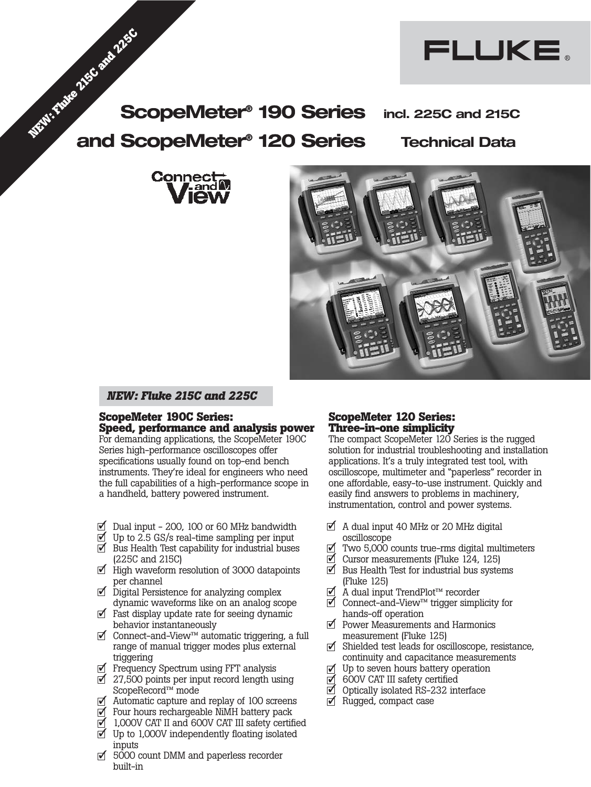





FLUKE.

## *NEW: Fluke 215C and 225C*

## **ScopeMeter 190C Series: Speed, performance and analysis power**

For demanding applications, the ScopeMeter 190C Series high-performance oscilloscopes offer specifications usually found on top-end bench instruments. They're ideal for engineers who need the full capabilities of a high-performance scope in a handheld, battery powered instrument.

- $\overline{1}$  Dual input 200, 100 or 60 MHz bandwidth
- $\overline{1}$  Up to 2.5 GS/s real-time sampling per input
- **○** Bus Health Test capability for industrial buses (225C and 215C)
- High waveform resolution of 3000 datapoints ✓ per channel
- Digital Persistence for analyzing complex ✓ dynamic waveforms like on an analog scope
- Fast display update rate for seeing dynamic ✓ behavior instantaneously
- Connect-and-View™ automatic triggering, a full ✓ range of manual trigger modes plus external triggering
- Frequency Spectrum using FFT analysis ✓
- $\overrightarrow{2}$  27,500 points per input record length using ScopeRecord™ mode
- Automatic capture and replay of 100 screens ✓
- Four hours rechargeable NiMH battery pack ✓
- 1,000V CAT II and 600V CAT III safety certified
- $\overline{J}$  Up to 1,000V independently floating isolated inputs
- $\overline{\mathcal{I}}$  5000 count DMM and paperless recorder built-in

## **ScopeMeter 120 Series: Three-in-one simplicity**

The compact ScopeMeter 120 Series is the rugged solution for industrial troubleshooting and installation applications. It's a truly integrated test tool, with oscilloscope, multimeter and "paperless" recorder in one affordable, easy-to-use instrument. Quickly and easily find answers to problems in machinery, instrumentation, control and power systems.

- A dual input 40 MHz or 20 MHz digital ✓ oscilloscope
- Two 5,000 counts true-rms digital multimeters ✓
- Cursor measurements (Fluke 124, 125) ✓
- $\overline{\mathcal{I}}$  Bus Health Test for industrial bus systems (Fluke 125)
- A dual input TrendPlot™ recorder ✓
- Connect-and-View™ trigger simplicity for ✓ hands-off operation
- Power Measurements and Harmonics ✓ measurement (Fluke 125)
- Shielded test leads for oscilloscope, resistance, ✓ continuity and capacitance measurements
- Up to seven hours battery operation ✓
- 600V CAT III safety certified ✓
- Optically isolated RS-232 interface ✓
- **○** Rugged, compact case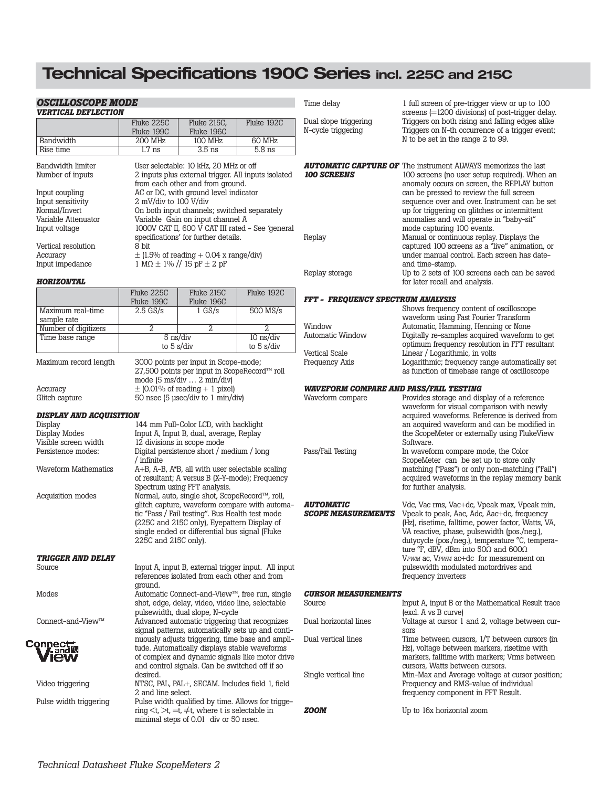# **Technical Specifications 190C Series incl. 225C and 215C**

| <b>VERTICAL DEFLECTION</b>           |                                                 |                                                                                  |                                                     | Time delay                                    | 1 full screen of pre-trigger view or up to 100<br>screens $= 1200$ divisions) of post-trigger delay. |
|--------------------------------------|-------------------------------------------------|----------------------------------------------------------------------------------|-----------------------------------------------------|-----------------------------------------------|------------------------------------------------------------------------------------------------------|
|                                      | Fluke 225C<br>Fluke 199C                        | Fluke 215C,<br>Fluke 196C                                                        | Fluke 192C                                          | Dual slope triggering<br>N-cycle triggering   | Triggers on both rising and falling edges alike<br>Triggers on N-th occurrence of a trigger event;   |
| Bandwidth                            | 200 MHz                                         | 100 MHz                                                                          | 60 MHz                                              |                                               | N to be set in the range 2 to 99.                                                                    |
| Rise time                            | $1.7$ ns                                        | $3.5$ ns                                                                         | $5.8$ ns                                            |                                               |                                                                                                      |
| Bandwidth limiter                    |                                                 | User selectable: 10 kHz, 20 MHz or off                                           |                                                     |                                               | <b>AUTOMATIC CAPTURE OF</b> The instrument ALWAYS memorizes the last                                 |
| Number of inputs                     |                                                 | 2 inputs plus external trigger. All inputs isolated                              |                                                     | <b>100 SCREENS</b>                            | 100 screens (no user setup required). When an                                                        |
|                                      |                                                 | from each other and from ground.                                                 |                                                     |                                               | anomaly occurs on screen, the REPLAY button                                                          |
| Input coupling                       |                                                 | AC or DC, with ground level indicator                                            |                                                     |                                               | can be pressed to review the full screen                                                             |
| Input sensitivity                    | 2 mV/div to 100 V/div                           |                                                                                  |                                                     |                                               | sequence over and over. Instrument can be set                                                        |
| Normal/Invert                        |                                                 | On both input channels; switched separately                                      |                                                     |                                               | up for triggering on glitches or intermittent                                                        |
| Variable Attenuator<br>Input voltage |                                                 | Variable Gain on input channel A                                                 | 1000V CAT II, 600 V CAT III rated - See 'general    |                                               | anomalies and will operate in "baby-sit"<br>mode capturing 100 events.                               |
|                                      |                                                 | specifications' for further details.                                             |                                                     | Replay                                        | Manual or continuous replay. Displays the                                                            |
| Vertical resolution                  | 8 bit                                           |                                                                                  |                                                     |                                               | captured 100 screens as a "live" animation, or                                                       |
| Accuracy                             |                                                 | $\pm$ (1.5% of reading + 0.04 x range/div)                                       |                                                     |                                               | under manual control. Each screen has date-                                                          |
| Input impedance                      |                                                 | $1 M\Omega \pm 1\%$ // 15 pF $\pm$ 2 pF                                          |                                                     |                                               | and time-stamp.                                                                                      |
|                                      |                                                 |                                                                                  |                                                     | Replay storage                                | Up to 2 sets of 100 screens each can be saved                                                        |
| <b>HORIZONTAL</b>                    |                                                 |                                                                                  |                                                     |                                               | for later recall and analysis.                                                                       |
|                                      | Fluke 225C                                      | Fluke 215C                                                                       | Fluke 192C                                          | FFT - FREQUENCY SPECTRUM ANALYSIS             |                                                                                                      |
| Maximum real-time                    | Fluke 199C<br>$2.5$ GS/s                        | Fluke 196C<br>$1$ GS/s                                                           | 500 MS/s                                            |                                               | Shows frequency content of oscilloscope                                                              |
| sample rate                          |                                                 |                                                                                  |                                                     |                                               | waveform using Fast Fourier Transform                                                                |
| Number of digitizers                 | 2                                               | $\overline{2}$                                                                   | $\overline{2}$                                      | Window                                        | Automatic, Hamming, Henning or None                                                                  |
| Time base range                      | $5$ ns/div                                      |                                                                                  | $10$ ns/div                                         | Automatic Window                              | Digitally re-samples acquired waveform to get                                                        |
|                                      | to 5 $s$ /div                                   |                                                                                  | to $5 \frac{\text{s}}{\text{div}}$                  |                                               | optimum frequency resolution in FFT resultant                                                        |
|                                      |                                                 | 3000 points per input in Scope-mode;                                             |                                                     | Vertical Scale<br><b>Frequency Axis</b>       | Linear / Logarithmic, in volts<br>Logarithmic; frequency range automatically set                     |
| Maximum record length                |                                                 | 27,500 points per input in ScopeRecord™ roll                                     |                                                     |                                               | as function of timebase range of oscilloscope                                                        |
|                                      |                                                 | mode (5 ms/div  2 min/div)                                                       |                                                     |                                               |                                                                                                      |
| Accuracy                             |                                                 | $\pm$ (0.01% of reading + 1 pixel)                                               |                                                     | <b>WAVEFORM COMPARE AND PASS/FAIL TESTING</b> |                                                                                                      |
| Glitch capture                       |                                                 | 50 nsec (5 µsec/div to 1 min/div)                                                |                                                     | Waveform compare                              | Provides storage and display of a reference                                                          |
|                                      |                                                 |                                                                                  |                                                     |                                               | waveform for visual comparison with newly                                                            |
| <b>DISPLAY AND ACQUISITION</b>       |                                                 |                                                                                  |                                                     |                                               | acquired waveforms. Reference is derived from                                                        |
| Display<br>Display Modes             |                                                 | 144 mm Full-Color LCD, with backlight<br>Input A, Input B, dual, average, Replay |                                                     |                                               | an acquired waveform and can be modified in<br>the ScopeMeter or externally using FlukeView          |
| Visible screen width                 |                                                 | 12 divisions in scope mode                                                       |                                                     |                                               | Software.                                                                                            |
| Persistence modes:                   |                                                 | Digital persistence short / medium / long                                        |                                                     | Pass/Fail Testing                             | In waveform compare mode, the Color                                                                  |
|                                      | / infinite                                      |                                                                                  |                                                     |                                               | ScopeMeter can be set up to store only                                                               |
| <b>Waveform Mathematics</b>          | A+B, A-B, A*B, all with user selectable scaling |                                                                                  |                                                     |                                               | matching ("Pass") or only non-matching ("Fail")                                                      |
|                                      |                                                 | of resultant; A versus B (X-Y-mode); Frequency                                   |                                                     |                                               | acquired waveforms in the replay memory bank                                                         |
|                                      |                                                 | Spectrum using FFT analysis.                                                     |                                                     |                                               | for further analysis.                                                                                |
| Acquisition modes                    |                                                 | Normal, auto, single shot, ScopeRecord™, roll,                                   |                                                     |                                               |                                                                                                      |
|                                      |                                                 | tic "Pass / Fail testing". Bus Health test mode                                  | glitch capture, waveform compare with automa-       | <b>AUTOMATIC</b><br><b>SCOPE MEASUREMENTS</b> | Vdc, Vac rms, Vac+dc, Vpeak max, Vpeak min,<br>Vpeak to peak, Aac, Adc, Aac+dc, frequency            |
|                                      |                                                 | (225C and 215C only), Eyepattern Display of                                      |                                                     |                                               | (Hz), risetime, falltime, power factor, Watts, VA,                                                   |
|                                      |                                                 | single ended or differential bus signal (Fluke                                   |                                                     |                                               | VA reactive, phase, pulsewidth (pos./neg.),                                                          |
|                                      | 225C and 215C only).                            |                                                                                  |                                                     |                                               | dutycycle (pos./neg.), temperature °C, tempera-                                                      |
|                                      |                                                 |                                                                                  |                                                     |                                               | ture $\degree$ F, dBV, dBm into 50 $\Omega$ and 600 $\Omega$                                         |
| TRIGGER AND DELAY                    |                                                 |                                                                                  |                                                     |                                               | VPWM ac, VPWM ac+dc for measurement on                                                               |
| Source                               |                                                 |                                                                                  | Input A, input B, external trigger input. All input |                                               | pulsewidth modulated motordrives and                                                                 |
|                                      | ground.                                         | references isolated from each other and from                                     |                                                     |                                               | frequency inverters                                                                                  |
| Modes                                |                                                 | Automatic Connect-and-View™, free run, single                                    |                                                     | <b>CURSOR MEASUREMENTS</b>                    |                                                                                                      |
|                                      |                                                 | shot, edge, delay, video, video line, selectable                                 |                                                     | Source                                        | Input A, input B or the Mathematical Result trace                                                    |
|                                      |                                                 | pulsewidth, dual slope, N-cycle                                                  |                                                     |                                               | (excl. A vs B curve)                                                                                 |
| Connect-and-View™                    |                                                 | Advanced automatic triggering that recognizes                                    |                                                     | Dual horizontal lines                         | Voltage at cursor 1 and 2, voltage between cur-                                                      |
|                                      |                                                 |                                                                                  | signal patterns, automatically sets up and conti-   |                                               | sors                                                                                                 |
| Connect,                             |                                                 |                                                                                  | nuously adjusts triggering, time base and ampli-    | Dual vertical lines                           | Time between cursors, 1/T between cursors (in                                                        |
| and W                                |                                                 | tude. Automatically displays stable waveforms                                    | of complex and dynamic signals like motor drive     |                                               | Hz), voltage between markers, risetime with<br>markers, falltime with markers; Vrms between          |
| ew                                   |                                                 | and control signals. Can be switched off if so                                   |                                                     |                                               | cursors, Watts between cursors.                                                                      |
|                                      | desired.                                        |                                                                                  |                                                     | Single vertical line                          | Min-Max and Average voltage at cursor position                                                       |
| Video triggering                     |                                                 | NTSC, PAL, PAL+, SECAM. Includes field 1, field                                  |                                                     |                                               | Frequency and RMS-value of individual                                                                |
|                                      | 2 and line select.                              |                                                                                  |                                                     |                                               | frequency component in FFT Result.                                                                   |
| Pulse width triggering               |                                                 |                                                                                  | Pulse width qualified by time. Allows for trigge-   |                                               |                                                                                                      |
|                                      |                                                 | ring $\lt t$ , $\gt t$ , $=\t t$ , $\not=t$ , where t is selectable in           |                                                     | <i>ZOOM</i>                                   | Up to 16x horizontal zoom                                                                            |
|                                      |                                                 | minimal steps of 0.01 div or 50 nsec.                                            |                                                     |                                               |                                                                                                      |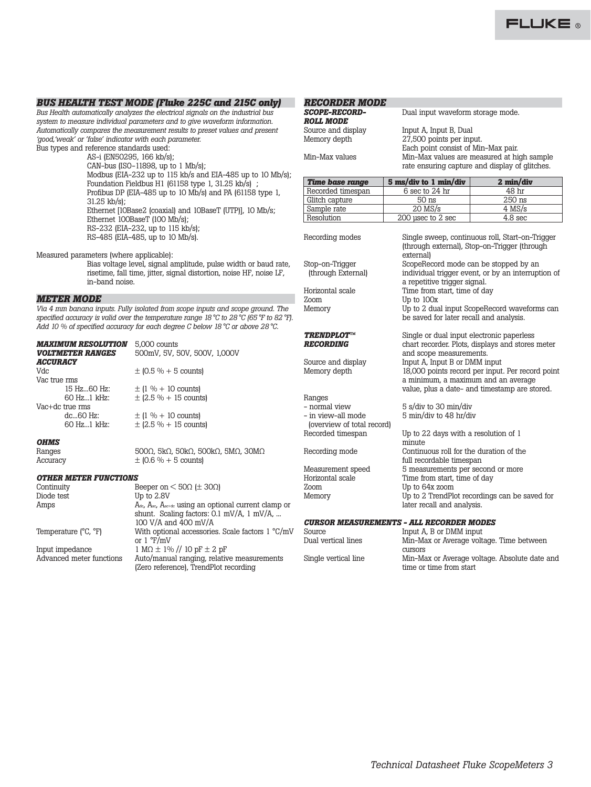## *BUS HEALTH TEST MODE (Fluke 225C and 215C only)*

*Bus Health automatically analyzes the electrical signals on the industrial bus system to measure individual parameters and to give waveform information. Automatically compares the measurement results to preset values and present 'good,'weak' or 'false' indicator with each parameter.* Bus types and reference standards used:

AS-i (EN50295, 166 kb/s);

CAN-bus (ISO-11898, up to 1 Mb/s); Modbus (EIA-232 up to 115 kb/s and EIA-485 up to 10 Mb/s); Foundation Fieldbus H1 (61158 type 1, 31.25 kb/s) ; Profibus DP (EIA-485 up to 10 Mb/s) and PA (61158 type 1, 31.25 kb/s); Ethernet [10Base2 (coaxial) and 10BaseT (UTP)], 10 Mb/s; Ethernet 100BaseT (100 Mb/s); RS-232 (EIA-232, up to 115 kb/s); RS-485 (EIA-485, up to 10 Mb/s).

Measured parameters (where applicable):

Bias voltage level, signal amplitude, pulse width or baud rate, risetime, fall time, jitter, signal distortion, noise HF, noise LF, in-band noise.

## *METER MODE*

*Via 4 mm banana inputs. Fully isolated from scope inputs and scope ground. The specified accuracy is valid over the temperature range 18°C to 28°C (65°F to 82°F). Add 10 % of specified accuracy for each degree C below 18 °C or above 28 °C.*

| <b>MAXIMUM RESOLUTION</b>      | 5,000 counts                 |
|--------------------------------|------------------------------|
| <b><i>VOLTMETER RANGES</i></b> | 500mV, 5V, 50V, 500V, 1,000V |
| <b>ACCURACY</b>                |                              |
| Vdc                            | $\pm$ (0.5 % + 5 counts)     |
| Vac true rms                   |                              |
| 15 Hz60 Hz:                    | $\pm$ (1 % + 10 counts)      |
| 60 Hz1 kHz:                    | $\pm$ (2.5 % + 15 counts)    |
| Vac+dc true rms                |                              |
| $dc60$ Hz:                     | $\pm$ (1 % + 10 counts)      |
| 60 Hz1 kHz:                    | $\pm$ (2.5 % + 15 counts)    |
| <b>отлет</b>                   |                              |

*OHMS*

Ranges 500Ω, 5kΩ, 50kΩ, 500kΩ, 5MΩ, 30MΩ<br>Accuracy  $\pm$  (0.6 % + 5 counts)

*OTHER METER FUNCTIONS*

Continuity Beeper on  $\lt$  50 $\Omega$  ( $\pm$  30 $\Omega$ )<br>Diode test Up to 2.8V Up to 2.8V Amps Adc, A<sub>ac</sub>, A<sub>ac+dc</sub> using an optional current clamp or shunt. Scaling factors: 0.1 mV/A, 1 mV/A, ... 100 V/A and 400 mV/A Temperature (°C, °F) With optional accessories. Scale factors 1 °C/mV or 1 °F/mV Input impedance  $1 \text{ MO} \pm 1\%$  // 10 pF  $\pm 2$  pF Advanced meter functions Auto/manual ranging, relative Auto/manual ranging, relative measurements (Zero reference), TrendPlot recording

 $\pm$  (0.6 % + 5 counts)

## *RECORDER MODE*

| <b>SCOPE-RECORD-</b>    | Dual input waveform storage mode.                                                            |
|-------------------------|----------------------------------------------------------------------------------------------|
| <i><b>ROLL MODE</b></i> |                                                                                              |
| Source and display      | Input A, Input B, Dual                                                                       |
| Memory depth            | 27,500 points per input.<br>Each point consist of Min-Max pair.                              |
| Min–Max values          | Min-Max values are measured at high sample<br>rate ensuring capture and display of glitches. |
|                         |                                                                                              |

| <b>Time base range</b> | 5 ms/div to 1 min/div | 2 min/div                                                                                       |  |
|------------------------|-----------------------|-------------------------------------------------------------------------------------------------|--|
| Recorded timespan      | 6 sec to 24 hr        | 48 hr                                                                                           |  |
| Glitch capture         | $50$ ns               | 250 ns                                                                                          |  |
| Sample rate            | $20$ MS/s             | $4$ MS/s                                                                                        |  |
| Resolution             | 200 usec to 2 sec     | 4.8 <sub>sec</sub>                                                                              |  |
| Recording modes        | external              | Single sweep, continuous roll, Start-on-Trigger<br>(through external), Stop-on-Trigger (through |  |

a repetitive trigger signal.

and scope measurements.

Time from start, time of day

be saved for later recall and analysis.

 $IIn$  to  $100x$ 

Stop-on-Trigger ScopeRecord mode can be stopped by an

Horizontal scale Time from start, time of day<br>
To to  $100x$ Memory Up to 2 dual input ScopeRecord waveforms can

# **TRENDPLOT™ Single or dual input electronic paperless<br>
<b>RECORDING** chart recorder. Plots. displays and stores

Source and display Input A, Input B or DMM input

Ranges<br>- normal view - normal view 5 s/div to 30 min/div<br>- in view-all mode 5 min/div to 48 hr/di (overview of total record)

Measurement speed 5 measurements per second or more<br>Horizontal scale 5 measurements per second or more Zoom Up to 64x zoom<br>Memory Up to 2 TrendPl

## Memory depth 18,000 points record per input. Per record point a minimum, a maximum and an average value, plus a date- and timestamp are stored. 5 min/div to 48 hr/div Up to 22 days with a resolution of 1 minute Recording mode Continuous roll for the duration of the full recordable timespan

chart recorder. Plots, displays and stores meter

individual trigger event, or by an interruption of

Up to 2 TrendPlot recordings can be saved for later recall and analysis.

## *CURSOR MEASUREMENTS - ALL RECORDER MODES*

| Source               | Input A, B or DMM input                       |
|----------------------|-----------------------------------------------|
| Dual vertical lines  | Min-Max or Average voltage. Time between      |
|                      | <b>CUITSOIS</b>                               |
| Single vertical line | Min-Max or Average voltage. Absolute date and |
|                      | time or time from start                       |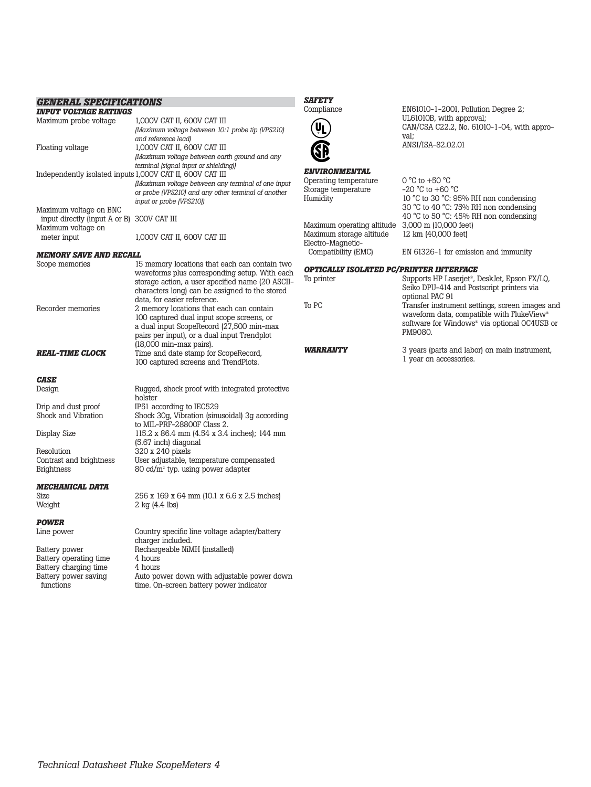| <b>GENERAL SPECIFICATIONS</b>                             |                                                                                                     | <b>SAFETY</b>                           |                                                                                                        |
|-----------------------------------------------------------|-----------------------------------------------------------------------------------------------------|-----------------------------------------|--------------------------------------------------------------------------------------------------------|
| <i><b>INPUT VOLTAGE RATINGS</b></i>                       |                                                                                                     | Compliance                              | EN61010-1-2001, Pollution Degree 2;                                                                    |
| Maximum probe voltage                                     | 1,000V CAT II, 600V CAT III<br>(Maximum voltage between 10:1 probe tip (VPS210)                     | <b>VL</b>                               | UL61010B, with approval;<br>CAN/CSA C22.2, No. 61010-1-04, with appro-                                 |
| Floating voltage                                          | and reference lead)<br>1,000V CAT II, 600V CAT III<br>(Maximum voltage between earth ground and any |                                         | val;<br>ANSI/ISA-82.02.01                                                                              |
| Independently isolated inputs 1,000V CAT II, 600V CAT III | terminal (signal input or shielding))                                                               | <b>ENVIRONMENTAL</b>                    |                                                                                                        |
|                                                           | (Maximum voltage between any terminal of one input                                                  | Operating temperature                   | $0^{\circ}$ C to +50 $^{\circ}$ C                                                                      |
|                                                           | or probe (VPS210) and any other terminal of another                                                 | Storage temperature                     | $-20$ °C to $+60$ °C                                                                                   |
|                                                           | input or probe (VPS210))                                                                            | Humidity                                | 10 °C to 30 °C: 95% RH non condensing                                                                  |
| Maximum voltage on BNC                                    |                                                                                                     |                                         | 30 °C to 40 °C: 75% RH non condensing                                                                  |
| input directly (input A or B) 300V CAT III                |                                                                                                     | Maximum operating altitude              | 40 °C to 50 °C: 45% RH non condensing<br>3,000 m (10,000 feet)                                         |
| Maximum voltage on                                        |                                                                                                     | Maximum storage altitude                | 12 km (40,000 feet)                                                                                    |
| meter input                                               | 1,000V CAT II, 600V CAT III                                                                         | Electro-Magnetic-                       |                                                                                                        |
| MEMORY SAVE AND RECALL                                    |                                                                                                     | Compatibility (EMC)                     | EN 61326-1 for emission and immunity                                                                   |
| Scope memories                                            | 15 memory locations that each can contain two                                                       |                                         |                                                                                                        |
|                                                           | waveforms plus corresponding setup. With each                                                       | OPTICALLY ISOLATED PC/PRINTER INTERFACE |                                                                                                        |
|                                                           | storage action, a user specified name (20 ASCII-<br>characters long) can be assigned to the stored  | To printer                              | Supports HP Laserjet <sup>®</sup> , DeskJet, Epson FX/LQ,<br>Seiko DPU-414 and Postscript printers via |
|                                                           | data, for easier reference.                                                                         |                                         | optional PAC 91                                                                                        |
| Recorder memories                                         | 2 memory locations that each can contain                                                            | To PC                                   | Transfer instrument settings, screen images and                                                        |
|                                                           | 100 captured dual input scope screens, or                                                           |                                         | waveform data, compatible with FlukeView®<br>software for Windows <sup>®</sup> via optional OC4USB or  |
|                                                           | a dual input ScopeRecord (27,500 min-max                                                            |                                         | PM9080.                                                                                                |
|                                                           | pairs per input), or a dual input Trendplot                                                         |                                         |                                                                                                        |
|                                                           | $(18,000$ min-max pairs).                                                                           | <b><i>WARRANTY</i></b>                  | 3 years (parts and labor) on main instrument,                                                          |
| <i><b>REAL-TIME CLOCK</b></i>                             | Time and date stamp for ScopeRecord,<br>100 captured screens and TrendPlots.                        |                                         | 1 year on accessories.                                                                                 |
| <b>CASE</b>                                               |                                                                                                     |                                         |                                                                                                        |
| Design                                                    | Rugged, shock proof with integrated protective                                                      |                                         |                                                                                                        |
|                                                           | holster                                                                                             |                                         |                                                                                                        |
| Drip and dust proof                                       | IP51 according to IEC529                                                                            |                                         |                                                                                                        |
| Shock and Vibration                                       | Shock 30g, Vibration (sinusoidal) 3g according                                                      |                                         |                                                                                                        |
| Display Size                                              | to MIL-PRF-28800F Class 2.<br>115.2 x 86.4 mm (4.54 x 3.4 inches); 144 mm                           |                                         |                                                                                                        |
|                                                           | (5.67 inch) diagonal                                                                                |                                         |                                                                                                        |
| Resolution                                                | 320 x 240 pixels                                                                                    |                                         |                                                                                                        |
| Contrast and brightness                                   | User adjustable, temperature compensated                                                            |                                         |                                                                                                        |
| <b>Brightness</b>                                         | 80 cd/ $m2$ typ. using power adapter                                                                |                                         |                                                                                                        |
| <i><b>MECHANICAL DATA</b></i>                             |                                                                                                     |                                         |                                                                                                        |
| Size                                                      | 256 x 169 x 64 mm (10.1 x 6.6 x 2.5 inches)                                                         |                                         |                                                                                                        |
| Weight                                                    | $2$ kg $(4.4$ lbs)                                                                                  |                                         |                                                                                                        |
| POWER                                                     |                                                                                                     |                                         |                                                                                                        |
| Line power                                                | Country specific line voltage adapter/battery                                                       |                                         |                                                                                                        |
|                                                           | charger included.                                                                                   |                                         |                                                                                                        |
| Battery power                                             | Rechargeable NiMH (installed)                                                                       |                                         |                                                                                                        |
| Battery operating time                                    | 4 hours                                                                                             |                                         |                                                                                                        |
| Battery charging time                                     | 4 hours                                                                                             |                                         |                                                                                                        |
| Battery power saving<br>functions                         | Auto power down with adjustable power down<br>time. On-screen battery power indicator               |                                         |                                                                                                        |
|                                                           |                                                                                                     |                                         |                                                                                                        |
|                                                           |                                                                                                     |                                         |                                                                                                        |

## *Technical Datasheet Fluke ScopeMeters 4*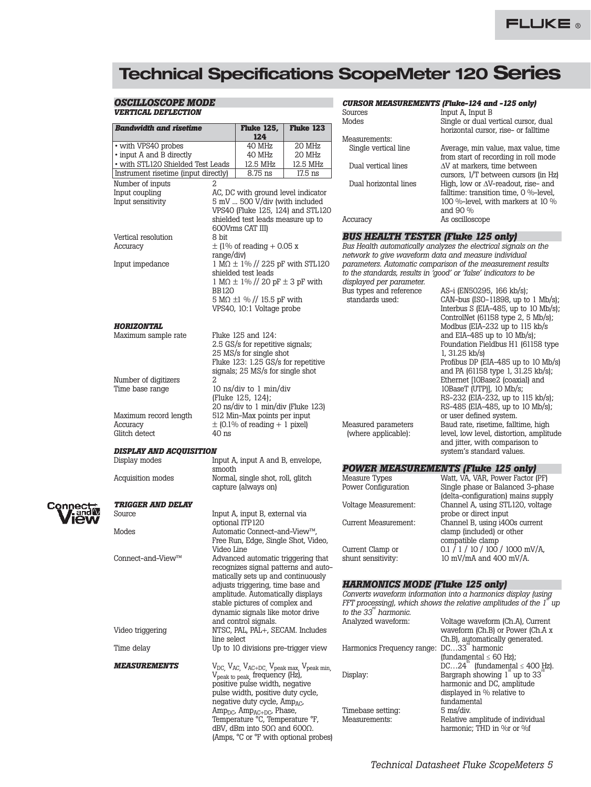# **Technical Specifications ScopeMeter 120 Series**

## *OSCILLOSCOPE MODE VERTICAL DEFLECTION*

**Bandwidth and risetime** 

 $\overline{\cdot \text{ with VPS40 probes}}$ • input A and B directly  $\cdot$  with STL120 Shielded Test Instrument risetime (input direction)

Number of inputs 2 Input coupling Input sensitivity

Vertical resolution Accuracy

Input impedance

*HORIZONTAL* Maximum sample rate

Number of digitizers Time base range

Maximum record length

*DISPLAY AND ACQUISITIO* 

Accuracy Glitch detect

Display modes

Acquisition modes

## *CURSOR MEASUREMENTS (Fluke-124 and -125 only)*

|                                       |                                                                                                                                                                                                                                                                                                                                                                                                                             |                                           | Sources                                                                | Input A, Input B                                                                                                                                                                                                                                                                                                                                                                                                                                                                                                                                                                                                                                                                                                                                               |
|---------------------------------------|-----------------------------------------------------------------------------------------------------------------------------------------------------------------------------------------------------------------------------------------------------------------------------------------------------------------------------------------------------------------------------------------------------------------------------|-------------------------------------------|------------------------------------------------------------------------|----------------------------------------------------------------------------------------------------------------------------------------------------------------------------------------------------------------------------------------------------------------------------------------------------------------------------------------------------------------------------------------------------------------------------------------------------------------------------------------------------------------------------------------------------------------------------------------------------------------------------------------------------------------------------------------------------------------------------------------------------------------|
|                                       | <b>Fluke 125,</b>                                                                                                                                                                                                                                                                                                                                                                                                           | Fluke 123                                 | Modes                                                                  | Single or dual vertical cursor, dual<br>horizontal cursor, rise- or falltime                                                                                                                                                                                                                                                                                                                                                                                                                                                                                                                                                                                                                                                                                   |
|                                       | 124                                                                                                                                                                                                                                                                                                                                                                                                                         |                                           | Measurements:                                                          |                                                                                                                                                                                                                                                                                                                                                                                                                                                                                                                                                                                                                                                                                                                                                                |
|                                       | 40 MHz                                                                                                                                                                                                                                                                                                                                                                                                                      | 20 MHz                                    | Single vertical line                                                   | Average, min value, max value, time                                                                                                                                                                                                                                                                                                                                                                                                                                                                                                                                                                                                                                                                                                                            |
|                                       | 40 MHz                                                                                                                                                                                                                                                                                                                                                                                                                      | 20 MHz                                    |                                                                        | from start of recording in roll mode                                                                                                                                                                                                                                                                                                                                                                                                                                                                                                                                                                                                                                                                                                                           |
| Leads                                 | 12.5 MHz                                                                                                                                                                                                                                                                                                                                                                                                                    | 12.5 MHz                                  | Dual vertical lines                                                    | $\Delta V$ at markers, time between                                                                                                                                                                                                                                                                                                                                                                                                                                                                                                                                                                                                                                                                                                                            |
| ectly)                                | 8.75 ns                                                                                                                                                                                                                                                                                                                                                                                                                     | 17.5 ns                                   |                                                                        | cursors, 1/T between cursors (in Hz)                                                                                                                                                                                                                                                                                                                                                                                                                                                                                                                                                                                                                                                                                                                           |
| $\overline{\mathcal{L}}$              | AC, DC with ground level indicator<br>5 mV  500 V/div (with included<br>shielded test leads measure up to                                                                                                                                                                                                                                                                                                                   | VPS40 (Fluke 125, 124) and STL120         | Dual horizontal lines<br>Accuracy                                      | High, low or $\Delta V$ -readout, rise- and<br>falltime: transition time, 0 %-level,<br>100 %-level, with markers at 10 %<br>and 90 %<br>As oscilloscope                                                                                                                                                                                                                                                                                                                                                                                                                                                                                                                                                                                                       |
|                                       | 600Vrms CAT III)                                                                                                                                                                                                                                                                                                                                                                                                            |                                           |                                                                        |                                                                                                                                                                                                                                                                                                                                                                                                                                                                                                                                                                                                                                                                                                                                                                |
| 8 bit                                 |                                                                                                                                                                                                                                                                                                                                                                                                                             |                                           | <b>BUS HEALTH TESTER (Fluke 125 only)</b>                              |                                                                                                                                                                                                                                                                                                                                                                                                                                                                                                                                                                                                                                                                                                                                                                |
| range/div)<br>BB120<br>$\overline{2}$ | $\pm$ (1% of reading + 0.05 x<br>shielded test leads<br>$1 M\Omega \pm 1\%$ // 20 pF $\pm$ 3 pF with<br>5 M $\Omega$ ±1 % // 15.5 pF with<br>VPS40, 10:1 Voltage probe<br>Fluke 125 and 124:<br>2.5 GS/s for repetitive signals;<br>25 MS/s for single shot<br>Fluke 123: 1.25 GS/s for repetitive<br>signals; 25 MS/s for single shot<br>10 ns/div to 1 min/div<br>(Fluke 125, 124);<br>20 ns/div to 1 min/div (Fluke 123) | $1 M\Omega \pm 1\%$ // 225 pF with STL120 | displayed per parameter.<br>Bus types and reference<br>standards used: | Bus Health automatically analyzes the electrical signals on the<br>network to give waveform data and measure individual<br>parameters. Automatic comparison of the measurement results<br>to the standards, results in 'good' or 'false' indicators to be<br>AS-i (EN50295, 166 kb/s);<br>CAN-bus $(ISO-11898, up to 1 Mb/s);$<br>Interbus $S$ (EIA-485, up to 10 Mb/s);<br>ControlNet (61158 type 2, 5 Mb/s);<br>Modbus (EIA-232 up to 115 kb/s<br>and EIA-485 up to 10 Mb/s);<br>Foundation Fieldbus H1 (61158 type<br>$1, 31.25$ kb/s)<br>Profibus DP (EIA-485 up to 10 Mb/s)<br>and PA (61158 type 1, 31.25 kb/s);<br>Ethernet [10Base2 (coaxial) and<br>10BaseT (UTP)], 10 Mb/s;<br>RS-232 (EIA-232, up to 115 kb/s);<br>RS-485 (EIA-485, up to 10 Mb/s); |
| $40$ ns<br>N                          | 512 Min-Max points per input<br>$\pm$ (0.1% of reading + 1 pixel)                                                                                                                                                                                                                                                                                                                                                           |                                           | Measured parameters<br>(where applicable):                             | or user defined system.<br>Baud rate, risetime, falltime, high<br>level, low level, distortion, amplitude<br>and jitter, with comparison to<br>system's standard values.                                                                                                                                                                                                                                                                                                                                                                                                                                                                                                                                                                                       |
|                                       | Input A, input A and B, envelope,                                                                                                                                                                                                                                                                                                                                                                                           |                                           |                                                                        |                                                                                                                                                                                                                                                                                                                                                                                                                                                                                                                                                                                                                                                                                                                                                                |
| smooth                                |                                                                                                                                                                                                                                                                                                                                                                                                                             |                                           |                                                                        | <b>POWER MEASUREMENTS (Fluke 125 only)</b>                                                                                                                                                                                                                                                                                                                                                                                                                                                                                                                                                                                                                                                                                                                     |
|                                       | Normal, single shot, roll, glitch<br>capture (always on)                                                                                                                                                                                                                                                                                                                                                                    |                                           | Measure Types<br>Power Configuration                                   | Watt, VA, VAR, Power Factor (PF)<br>Single phase or Balanced 3-phase<br>(delta-configuration) mains supply                                                                                                                                                                                                                                                                                                                                                                                                                                                                                                                                                                                                                                                     |

| onnec <del>u</del><br>l Er        |
|-----------------------------------|
| $\blacksquare$ and $\blacksquare$ |
| <b>View</b>                       |

# *TRIGGER AND DELAY*

| Source                     | Input A, input B, external via                                                                                                                                                                                                                                   |   |
|----------------------------|------------------------------------------------------------------------------------------------------------------------------------------------------------------------------------------------------------------------------------------------------------------|---|
| Modes                      | optional ITP120<br>Automatic Connect-and-View™.<br>Free Run, Edge, Single Shot, Video,<br>Video Line                                                                                                                                                             | ( |
| Connect-and-View™          | Advanced automatic triggering that<br>recognizes signal patterns and auto-<br>matically sets up and continuously<br>adjusts triggering, time base and<br>amplitude. Automatically displays<br>stable pictures of complex and<br>dynamic signals like motor drive |   |
| Video triggering           | and control signals.<br>NTSC, PAL, PAL+, SECAM. Includes<br>line select                                                                                                                                                                                          |   |
| Time delay                 | Up to 10 divisions pre-trigger view                                                                                                                                                                                                                              | I |
| <i><b>MEASUREMENTS</b></i> | V <sub>DC</sub> , V <sub>AC</sub> , V <sub>AC+DC</sub> , V <sub>peak max</sub> , V <sub>peak min,</sub><br>V <sub>peak to peak</sub> frequency (Hz),<br>positive pulse width, negative<br>pulse width, positive duty cycle,                                      | I |

negative duty cycle, Amp<sub>AC</sub>, Amp<sub>DC</sub>, Amp<sub>AC+DC</sub>, Phase,<br>Temperature °C, Temperature °F, dBV, dBm into 50Ω and 600Ω. (Amps, °C or °F with optional probes)

## (delta-configuration) mains supply Voltage Measurement: Channel A, using STL120, voltage probe or direct input Current Measurement: Channel B, using i400s current clamp (included) or other compatible clamp Current Clamp or  $0.1 / 1 / 10 / 100 / 1000$  mV/A,<br>shunt sensitivity:  $10 \text{ mV/mA}$  and  $400 \text{ mV/A}$ . 10 mV/mA and 400 mV/A.

## *HARMONICS MODE (Fluke 125 only)*

|                                                        | Converts waveform information into a harmonics display (using       |
|--------------------------------------------------------|---------------------------------------------------------------------|
|                                                        | FFT processing), which shows the relative amplitudes of the $1s$ up |
| to the $33m$ harmonic.                                 |                                                                     |
| Analyzed waveform:                                     | Voltage waveform (Ch.A), Current                                    |
|                                                        | waveform (Ch.B) or Power (Ch.A x                                    |
|                                                        | Ch.B), automatically generated.                                     |
| Harmonics Frequency range: DC33 <sup>rd</sup> harmonic |                                                                     |
|                                                        | (fundamental $\leq 60$ Hz);                                         |
|                                                        | $DC24^{m}$ (fundamental $\leq 400$ Hz).                             |
| Display:                                               | Bargraph showing $1^{\text{st}}$ up to 33 <sup>rd</sup>             |
|                                                        | harmonic and DC, amplitude                                          |
|                                                        | displayed in % relative to                                          |
|                                                        | fundamental                                                         |
| Timebase setting:                                      | $5 \text{ ms}/\text{div}$ .                                         |
| Measurements:                                          | Relative amplitude of individual                                    |

harmonic; THD in %r or %f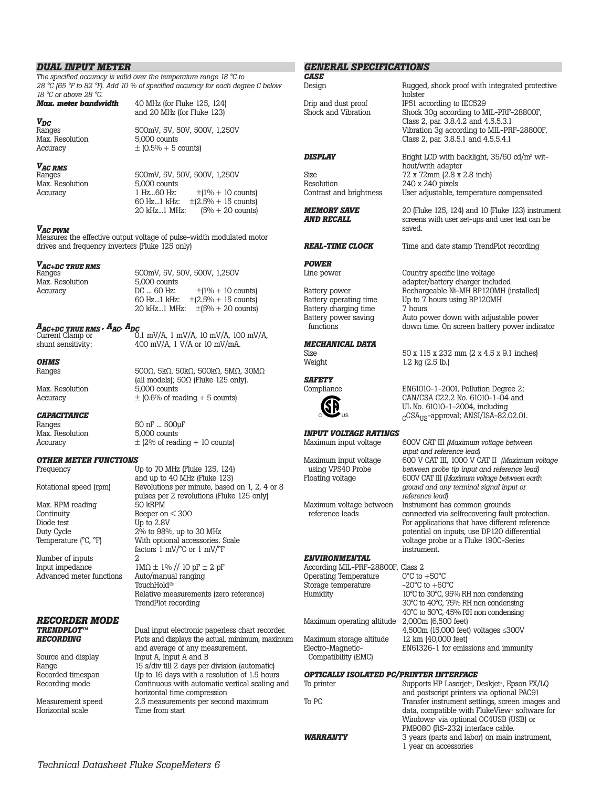## *DUAL INPUT METER*

*The specified accuracy is valid over the temperature range 18 °C to 28 °C (65 °F to 82 °F). Add 10 % of specified accuracy for each degree C below* 

*18 °C or above 28 °C.*

*VDC* Max. Resolution<br>Accuracy and 20 MHz (for Fluke 123) 500mV, 5V, 50V, 500V, 1,250V<br>5,000 counts

500mV, 5V, 50V, 500V, 1,250V<br>5.000 counts

1 Hz...60 Hz:  $\pm (1\% + 10 \text{ counts})$ <br>60 Hz...1 kHz:  $\pm (2.5\% + 15 \text{ counts})$ 60 Hz...1 kHz:  $\pm (2.5\% + 15 \text{ counts})$ <br>20 kHz...1 MHz:  $(5\% + 20 \text{ counts})$ 

 $(5\% + 20 \text{ counts})$ 

 $\pm$  (0.5% + 5 counts)

*Max. meter bandwidth* 40 MHz (for Fluke 125, 124)

## *VAC RMS*

Max. Resolution 5,000 counts<br>Accuracy 1 Hz...60 Hz:

*VAC PWM*

Measures the effective output voltage of pulse-width modulated motor drives and frequency inverters (Fluke 125 only)

# *VAC+DC TRUE RMS*

Max. Resolution 5,000 counts<br>Accuracy DC ... 60 Hz:

500mV, 5V, 50V, 500V, 1,250V<br>5000 counts DC ... 60 Hz:  $\pm (1\% + 10 \text{ counts})$ <br>60 Hz...1 kHz:  $\pm (2.5\% + 15 \text{ counts})$  $\pm (2.5\% + 15 \text{ counts})$ 20 kHz...1 MHz: ±(5% + 20 counts)

*AAC+DC TRUE RMS , AAC, ADC* Current Clamp or 0.1 mV/A, 1 mV/A, 10 mV/A, 100 mV/A, shunt sensitivity: 400 mV/A, 1 V/A or 10 mV/mA.

(all models);  $50\Omega$  (Fluke 125 only).<br>5.000 counts

### *OHMS* Ranges 500Ω, 5kΩ, 50kΩ, 500kΩ, 5MΩ, 30MΩ

Max. Resolution  $\pm$  (0.6% of reading + 5 counts)

# *CAPACITANCE*<br>Ranges

Max. Resolution

50 nF ... 500µF<br>5.000 counts Accuracy  $\pm$  (2% of reading + 10 counts)

# *OTHER METER FUNCTIONS*<br>Frequency U

Max. RPM reading<br>Continuity Continuity Beeper on  $\langle 30\Omega \rangle$ <br>Diode test Up to 2.8V Diode test Up to 2.8V<br>Duty Cycle 2% to 98%

Number of inputs 2<br>Input impedance 1 Advanced meter functions

# *RECORDER MODE*

Horizontal scale Time from start

Up to 70 MHz (Fluke 125, 124) and up to 40 MHz (Fluke 123) Rotational speed (rpm) Revolutions per minute, based on 1, 2, 4 or 8 pulses per 2 revolutions (Fluke 125 only)<br>50 kRPM Duty Cycle 2% to 98%, up to 30 MHz<br>Temperature (°C, °F) With optional accessories. With optional accessories. Scale factors 1 mV/°C or 1 mV/°F

 $1M\Omega \pm 1\%$  // 10 pF  $\pm$  2 pF<br>Auto/manual ranging TouchHold® Relative measurements (zero reference) TrendPlot recording

**TRENDPLOT™** Dual input electronic paperless chart recorder.<br>**RECORDING** Plots and displays the actual minimum maximu Plots and displays the actual, minimum, maximum and average of any measurement. Source and display Input A, Input A and B Range 15 s/div till 2 days per division (automatic)<br>Recorded timespan Up to 16 days with a resolution of 1.5 hour Recorded timespan Up to 16 days with a resolution of 1.5 hours<br>Recording mode Continuous with automatic vertical scaling a Continuous with automatic vertical scaling and horizontal time compression Measurement speed 2.5 measurements per second maximum

## *GENERAL SPECIFICATIONS CASE*

holster

Design Rugged, shock proof with integrated protective Drip and dust proof IP51 according to IEC529<br>Shock and Vibration Shock 30q according to M

## **DISPLAY** Bright LCD with backlight, 35/60 cd/m<sup>2</sup> wit-

Resolution 240 x 240 pixels<br>Contrast and brightness User adjustable, t

# *POWER*

Battery charging time 7 hours<br>Battery power saving Auto po

## *MECHANICAL DATA*



# *INPUT VOLTAGE RATINGS*

## *ENVIRONMENTAL*

| According MIL-PRF-28800F, Class 2            |
|----------------------------------------------|
| $0^{\circ}$ C to $+50^{\circ}$ C             |
| $-20^{\circ}$ C to $+60^{\circ}$ C           |
| 10°C to 30°C, 95% RH non condensing          |
| 30°C to 40°C, 75% RH non condensing          |
| 40°C to 50°C, 45% RH non condensing          |
| 2,000m (6,500 feet)                          |
| 4,500 $m$ (15,000 feet) voltages $\leq$ 300V |
| 12 km (40,000 feet)                          |
| EN61326-1 for emissions and immunity         |
|                                              |
|                                              |

## *OPTICALLY ISOLATED PC/PRINTER INTERFACE*

| To printer             | Supports HP Laserjet <sup>*</sup> , Deskjet <sup>*</sup> , Epson FX/LQ |
|------------------------|------------------------------------------------------------------------|
|                        | and postscript printers via optional PAC91                             |
| To PC                  | Transfer instrument settings, screen images and                        |
|                        | data, compatible with FlukeView <sup>®</sup> software for              |
|                        | Windows <sup>®</sup> via optional OC4USB (USB) or                      |
|                        | PM9080 (RS-232) interface cable.                                       |
| <b><i>WARRANTY</i></b> | 3 years (parts and labor) on main instrument,                          |
|                        | 1 year on accessories                                                  |
|                        |                                                                        |

hout/with adapter Size 72 x 72mm (2.8 x 2.8 inch)<br>Resolution 240 x 240 pixels User adjustable, temperature compensated **MEMORY SAVE** 20 (Fluke 125, 124) and 10 (Fluke 123) instrument<br>**AND RECALL** screens with user set-ups and user text can be *screens with user set-ups and user text can be* 

Class 2, par. 3.8.5.1 and 4.5.5.4.1

Shock 30g according to MIL-PRF-28800F, Class 2, par. 3.8.4.2 and 4.5.5.3.1

Vibration 3g according to MIL-PRF-28800F,

saved.

*REAL-TIME CLOCK* Time and date stamp TrendPlot recording

Country specific line voltage adapter/battery charger included Battery power Rechargeable Ni-MH BP120MH (installed)<br>Battery operating time Up to 7 hours using BP120MH Up to 7 hours using BP120MH Battery power saving<br>
functions<br>
Auto power down with adjustable power<br>
Auto power down time<br>
On screen battery power indidown time. On screen battery power indicator

Size 50 x 115 x 232 mm (2 x 4.5 x 9.1 inches)<br>Weight 1.2 kg (2.5 lb.)  $1.2$  kg ( $2.5$  lb.)

> $EN61010-1-2001$ , Pollution Degree 2; CAN/CSA C22.2 No. 61010-1-04 and UL No. 61010-1-2004, including cCSA<sub>US</sub>-approval; ANSI/ISA-82.02.01.

Maximum input voltage 600V CAT III *(Maximum voltage between input and reference lead)* Maximum input voltage 600 V CAT III, 1000 V CAT II *(Maximum voltage* using VPS40 Probe *between probe tip input and reference lead)*<br>Floating voltage 600V CAT III (Maximum voltage between earth Floating voltage 600V CAT III (*Maximum voltage between earth ground and any terminal signal input or reference lead)*  Maximum voltage between Instrument has common grounds<br>reference leads connected via selfrecovering fault connected via selfrecovering fault protection. For applications that have different reference potential on inputs, use DP120 differential voltage probe or a Fluke 190C-Series

instrument.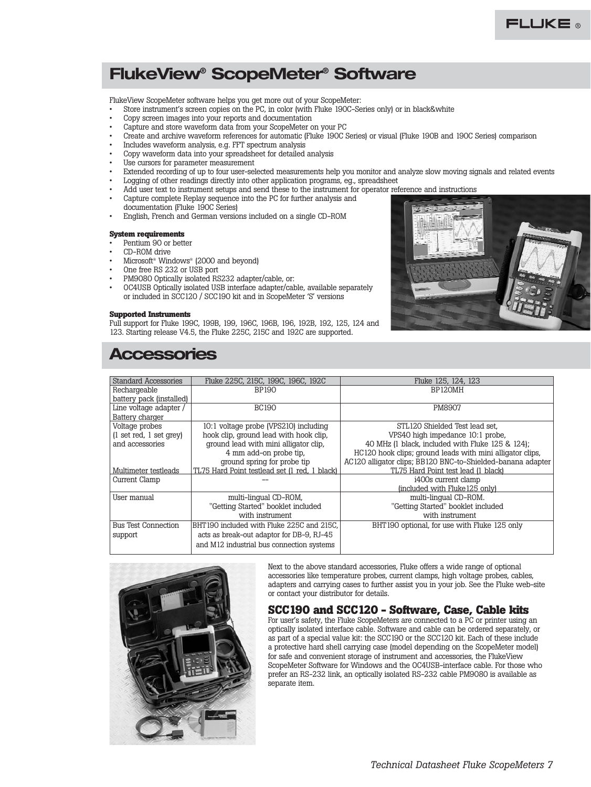# **FlukeView® ScopeMeter® Software**

FlukeView ScopeMeter software helps you get more out of your ScopeMeter:

- Store instrument's screen copies on the PC, in color (with Fluke 190C-Series only) or in black&white
- Copy screen images into your reports and documentation
- Capture and store waveform data from your ScopeMeter on your PC
- Create and archive waveform references for automatic (Fluke 190C Series) or visual (Fluke 190B and 190C Series) comparison
- Includes waveform analysis, e.g. FFT spectrum analysis
- Copy waveform data into your spreadsheet for detailed analysis
- Use cursors for parameter measurement
- Extended recording of up to four user-selected measurements help you monitor and analyze slow moving signals and related events
- Logging of other readings directly into other application programs, eg., spreadsheet
- Add user text to instrument setups and send these to the instrument for operator reference and instructions
- Capture complete Replay sequence into the PC for further analysis and documentation (Fluke 190C Series)
- English, French and German versions included on a single CD-ROM

## **System requirements**

- Pentium 90 or better
- CD-ROM drive
- Microsoft® Windows® (2000 and beyond)
- One free RS 232 or USB port
- PM9080 Optically isolated RS232 adapter/cable, or:
- OC4USB Optically isolated USB interface adapter/cable, available separately or included in SCC120 / SCC190 kit and in ScopeMeter 'S' versions

### **Supported Instruments**

Full support for Fluke 199C, 199B, 199, 196C, 196B, 196, 192B, 192, 125, 124 and 123. Starting release V4.5, the Fluke 225C, 215C and 192C are supported.



## **Accessories**

| Standard Accessories                      | Fluke 225C, 215C, 199C, 196C, 192C            | Fluke 125, 124, 123                                         |
|-------------------------------------------|-----------------------------------------------|-------------------------------------------------------------|
| Rechargeable                              | BP190                                         | BP120MH                                                     |
| battery pack (installed)                  |                                               |                                                             |
| Line voltage adapter /                    | <b>BC190</b>                                  | <b>PM8907</b>                                               |
| Battery charger                           |                                               |                                                             |
| Voltage probes                            | 10:1 voltage probe (VPS210) including         | STL120 Shielded Test lead set.                              |
| $(1 \text{ set red}, 1 \text{ set grey})$ | hook clip, ground lead with hook clip,        | VPS40 high impedance 10:1 probe,                            |
| and accessories                           | ground lead with mini alligator clip,         | 40 MHz (1 black, included with Fluke 125 & 124);            |
|                                           | 4 mm add-on probe tip.                        | HC120 hook clips; ground leads with mini alligator clips,   |
|                                           | ground spring for probe tip                   | AC120 alligator clips; BB120 BNC-to-Shielded-banana adapter |
| Multimeter testleads                      | TL75 Hard Point testlead set (1 red, 1 black) | TL75 Hard Point test lead (1 black)                         |
| Current Clamp                             |                                               | i400s current clamp                                         |
|                                           |                                               | (included with Fluke 125 only)                              |
| User manual                               | multi-lingual CD-ROM,                         | multi-lingual CD-ROM.                                       |
|                                           | "Getting Started" booklet included            | "Getting Started" booklet included                          |
|                                           | with instrument                               | with instrument                                             |
| <b>Bus Test Connection</b>                | BHT190 included with Fluke 225C and 215C,     | BHT190 optional, for use with Fluke 125 only                |
| support                                   | acts as break-out adaptor for DB-9, RJ-45     |                                                             |
|                                           | and M12 industrial bus connection systems     |                                                             |
|                                           |                                               |                                                             |



Next to the above standard accessories, Fluke offers a wide range of optional accessories like temperature probes, current clamps, high voltage probes, cables, adapters and carrying cases to further assist you in your job. See the Fluke web-site or contact your distributor for details.

## **SCC190 and SCC120 - Software, Case, Cable kits**

For user's safety, the Fluke ScopeMeters are connected to a PC or printer using an optically isolated interface cable. Software and cable can be ordered separately, or as part of a special value kit: the SCC190 or the SCC120 kit. Each of these include a protective hard shell carrying case (model depending on the ScopeMeter model) for safe and convenient storage of instrument and accessories, the FlukeView ScopeMeter Software for Windows and the OC4USB-interface cable. For those who prefer an RS-232 link, an optically isolated RS-232 cable PM9080 is available as separate item.